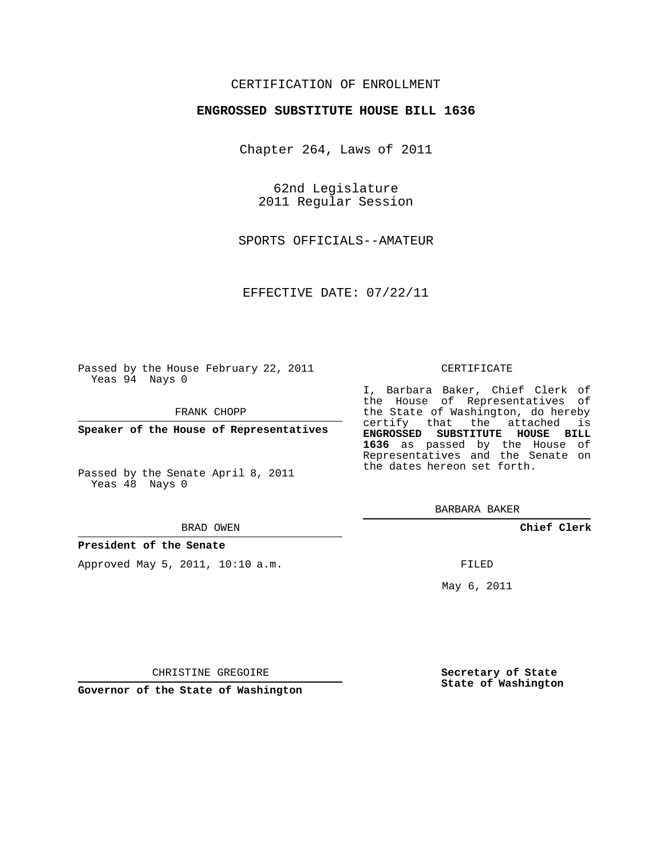## CERTIFICATION OF ENROLLMENT

### **ENGROSSED SUBSTITUTE HOUSE BILL 1636**

Chapter 264, Laws of 2011

62nd Legislature 2011 Regular Session

SPORTS OFFICIALS--AMATEUR

EFFECTIVE DATE: 07/22/11

Passed by the House February 22, 2011 Yeas 94 Nays 0

FRANK CHOPP

**Speaker of the House of Representatives**

Passed by the Senate April 8, 2011 Yeas 48 Nays 0

#### BRAD OWEN

### **President of the Senate**

Approved May 5, 2011, 10:10 a.m.

#### CERTIFICATE

I, Barbara Baker, Chief Clerk of the House of Representatives of the State of Washington, do hereby certify that the attached is **ENGROSSED SUBSTITUTE HOUSE BILL 1636** as passed by the House of Representatives and the Senate on the dates hereon set forth.

BARBARA BAKER

**Chief Clerk**

FILED

May 6, 2011

**Secretary of State State of Washington**

CHRISTINE GREGOIRE

**Governor of the State of Washington**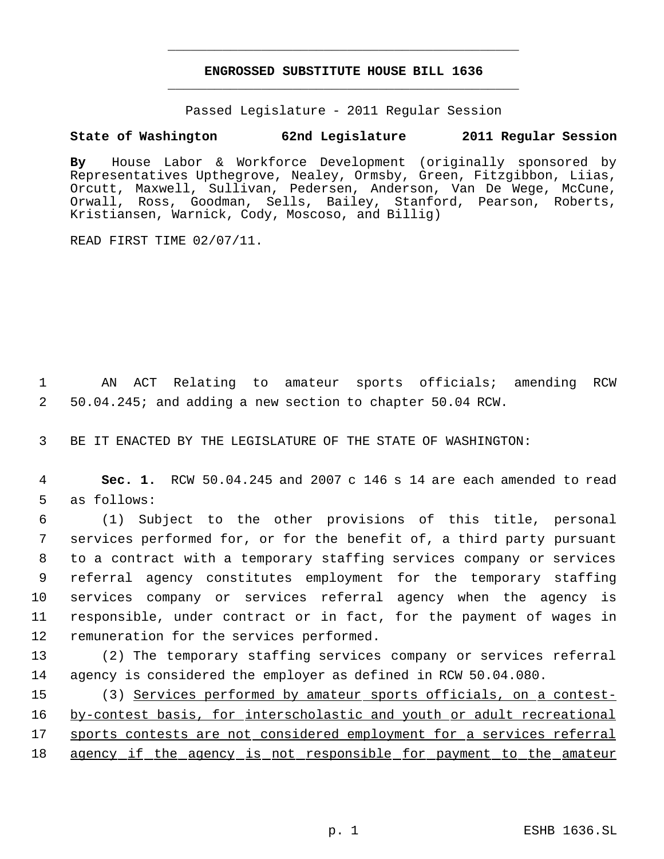# **ENGROSSED SUBSTITUTE HOUSE BILL 1636** \_\_\_\_\_\_\_\_\_\_\_\_\_\_\_\_\_\_\_\_\_\_\_\_\_\_\_\_\_\_\_\_\_\_\_\_\_\_\_\_\_\_\_\_\_

\_\_\_\_\_\_\_\_\_\_\_\_\_\_\_\_\_\_\_\_\_\_\_\_\_\_\_\_\_\_\_\_\_\_\_\_\_\_\_\_\_\_\_\_\_

Passed Legislature - 2011 Regular Session

## **State of Washington 62nd Legislature 2011 Regular Session**

**By** House Labor & Workforce Development (originally sponsored by Representatives Upthegrove, Nealey, Ormsby, Green, Fitzgibbon, Liias, Orcutt, Maxwell, Sullivan, Pedersen, Anderson, Van De Wege, McCune, Orwall, Ross, Goodman, Sells, Bailey, Stanford, Pearson, Roberts, Kristiansen, Warnick, Cody, Moscoso, and Billig)

READ FIRST TIME 02/07/11.

 1 AN ACT Relating to amateur sports officials; amending RCW 2 50.04.245; and adding a new section to chapter 50.04 RCW.

3 BE IT ENACTED BY THE LEGISLATURE OF THE STATE OF WASHINGTON:

 4 **Sec. 1.** RCW 50.04.245 and 2007 c 146 s 14 are each amended to read 5 as follows:

 (1) Subject to the other provisions of this title, personal services performed for, or for the benefit of, a third party pursuant to a contract with a temporary staffing services company or services referral agency constitutes employment for the temporary staffing services company or services referral agency when the agency is responsible, under contract or in fact, for the payment of wages in remuneration for the services performed.

13 (2) The temporary staffing services company or services referral 14 agency is considered the employer as defined in RCW 50.04.080.

15 (3) Services performed by amateur sports officials, on a contest-16 by-contest basis, for interscholastic and youth or adult recreational 17 sports contests are not considered employment for a services referral 18 agency if the agency is not responsible for payment to the amateur